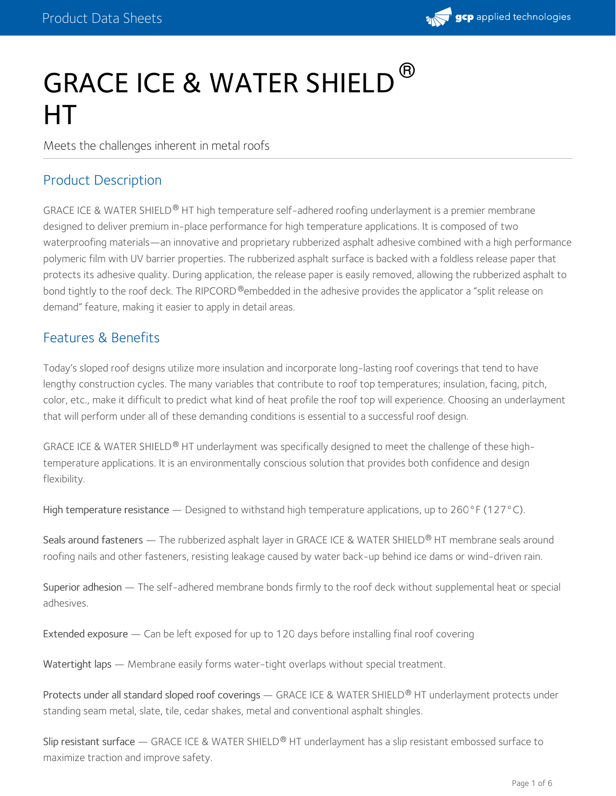

# GRACE ICE & WATER SHIELD ® HT

Meets the challenges inherent in metal roofs

## Product Description

GRACE ICE & WATER SHIELD® HT high temperature self-adhered roofing underlayment is a premier membrane designed to deliver premium in-place performance for high temperature applications. It is composed of two waterproofing materials—an innovative and proprietary rubberized asphalt adhesive combined with a high performance polymeric film with UV barrier properties. The rubberized asphalt surface is backed with a foldless release paper that protects its adhesive quality. During application, the release paper is easily removed, allowing the rubberized asphalt to bond tightly to the roof deck. The RIPCORD ®embedded in the adhesive provides the applicator a "split release on demand" feature, making it easier to apply in detail areas.

## Features & Benefits

Today's sloped roof designs utilize more insulation and incorporate long-lasting roof coverings that tend to have lengthy construction cycles. The many variables that contribute to roof top temperatures; insulation, facing, pitch, color, etc., make it difficult to predict what kind of heat profile the roof top will experience. Choosing an underlayment that will perform under all of these demanding conditions is essential to a successful roof design.

GRACE ICE & WATER SHIELD® HT underlayment was specifically designed to meet the challenge of these hightemperature applications. It is an environmentally conscious solution that provides both confidence and design flexibility.

High temperature resistance — Designed to withstand high temperature applications, up to 260°F (127°C).

Seals around fasteners — The rubberized asphalt layer in GRACE ICE & WATER SHIELD® HT membrane seals around roofing nails and other fasteners, resisting leakage caused by water back-up behind ice dams or wind-driven rain.

Superior adhesion — The self-adhered membrane bonds firmly to the roof deck without supplemental heat or special adhesives.

Extended exposure — Can be left exposed for up to 120 days before installing final roof covering

Watertight laps — Membrane easily forms water-tight overlaps without special treatment.

Protects under all standard sloped roof coverings — GRACE ICE & WATER SHIELD® HT underlayment protects under standing seam metal, slate, tile, cedar shakes, metal and conventional asphalt shingles.

Slip resistant surface — GRACE ICE & WATER SHIELD® HT underlayment has a slip resistant embossed surface to maximize traction and improve safety.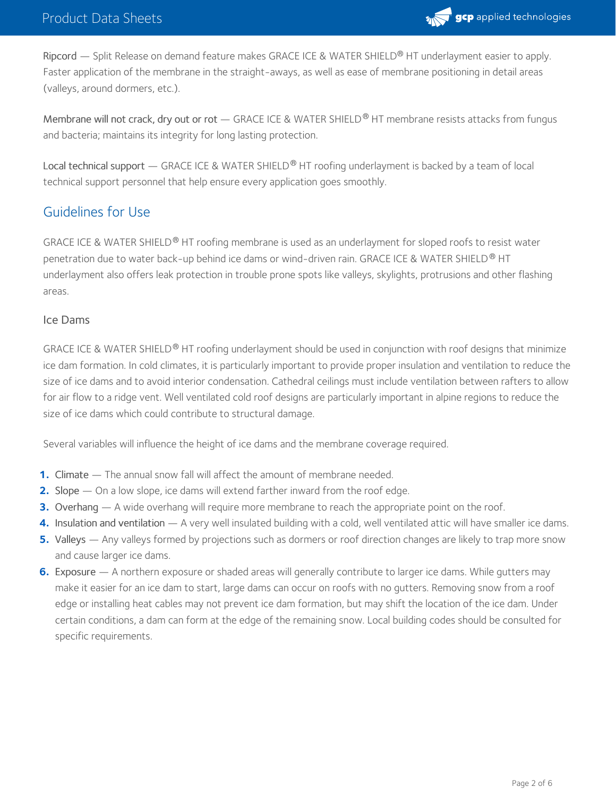

Ripcord — Split Release on demand feature makes GRACE ICE & WATER SHIELD® HT underlayment easier to apply. Faster application of the membrane in the straight-aways, as well as ease of membrane positioning in detail areas (valleys, around dormers, etc.).

Membrane will not crack, dry out or rot — GRACE ICE & WATER SHIELD® HT membrane resists attacks from fungus and bacteria; maintains its integrity for long lasting protection.

Local technical support  $-$  GRACE ICE & WATER SHIELD® HT roofing underlayment is backed by a team of local technical support personnel that help ensure every application goes smoothly.

# Guidelines for Use

GRACE ICE & WATER SHIELD® HT roofing membrane is used as an underlayment for sloped roofs to resist water penetration due to water back-up behind ice dams or wind-driven rain. GRACE ICE & WATER SHIELD  $^\circledR$  HT underlayment also offers leak protection in trouble prone spots like valleys, skylights, protrusions and other flashing areas.

#### Ice Dams

GRACE ICE & WATER SHIELD® HT roofing underlayment should be used in conjunction with roof designs that minimize ice dam formation. In cold climates, it is particularly important to provide proper insulation and ventilation to reduce the size of ice dams and to avoid interior condensation. Cathedral ceilings must include ventilation between rafters to allow for air flow to a ridge vent. Well ventilated cold roof designs are particularly important in alpine regions to reduce the size of ice dams which could contribute to structural damage.

Several variables will influence the height of ice dams and the membrane coverage required.

- **1.** Climate The annual snow fall will affect the amount of membrane needed.
- **2.** Slope On a low slope, ice dams will extend farther inward from the roof edge.
- **3.** Overhang A wide overhang will require more membrane to reach the appropriate point on the roof.
- **4.** Insulation and ventilation A very well insulated building with a cold, well ventilated attic will have smaller ice dams.
- Valleys Any valleys formed by projections such as dormers or roof direction changes are likely to trap more snow and cause larger ice dams. **5.**
- Exposure A northern exposure or shaded areas will generally contribute to larger ice dams. While gutters may **6.** make it easier for an ice dam to start, large dams can occur on roofs with no gutters. Removing snow from a roof edge or installing heat cables may not prevent ice dam formation, but may shift the location of the ice dam. Under certain conditions, a dam can form at the edge of the remaining snow. Local building codes should be consulted for specific requirements.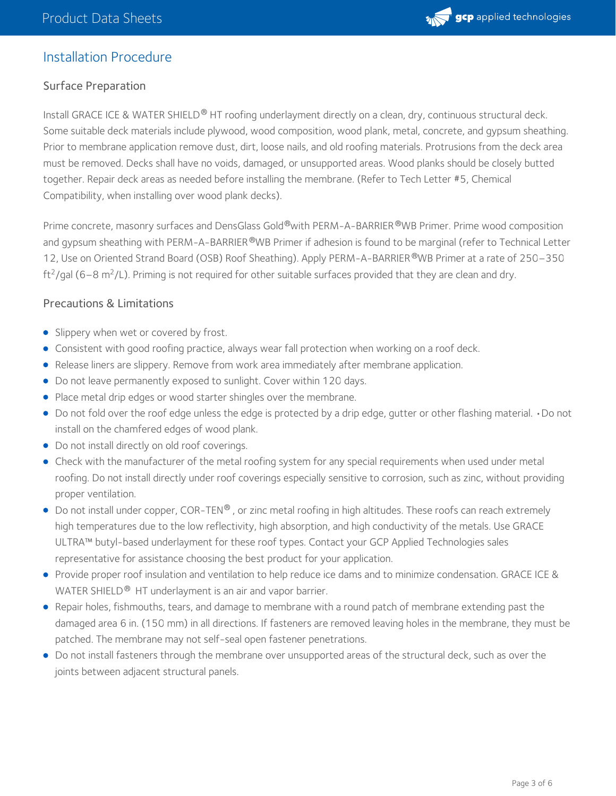

## Installation Procedure

## Surface Preparation

Install GRACE ICE & WATER SHIELD® HT roofing underlayment directly on a clean, dry, continuous structural deck. Some suitable deck materials include plywood, wood composition, wood plank, metal, concrete, and gypsum sheathing. Prior to membrane application remove dust, dirt, loose nails, and old roofing materials. Protrusions from the deck area must be removed. Decks shall have no voids, damaged, or unsupported areas. Wood planks should be closely butted together. Repair deck areas as needed before installing the membrane. (Refer to Tech Letter #5, Chemical Compatibility, when installing over wood plank decks).

Prime concrete, masonry surfaces and DensGlass Gold®with PERM-A-BARRIER®WB Primer. Prime wood composition and gypsum sheathing with PERM-A-BARRIER®WB Primer if adhesion is found to be marginal (refer to Technical Letter 12, Use on Oriented Strand Board (OSB) Roof Sheathing). Apply PERM-A-BARRIER®WB Primer at a rate of 250–350 ft<sup>2</sup>/gal (6–8 m<sup>2</sup>/L). Priming is not required for other suitable surfaces provided that they are clean and dry.

#### Precautions & Limitations

- Slippery when wet or covered by frost.
- Consistent with good roofing practice, always wear fall protection when working on a roof deck.
- Release liners are slippery. Remove from work area immediately after membrane application.
- Do not leave permanently exposed to sunlight. Cover within 120 days.
- Place metal drip edges or wood starter shingles over the membrane.
- Do not fold over the roof edge unless the edge is protected by a drip edge, gutter or other flashing material. •Do not install on the chamfered edges of wood plank.
- Do not install directly on old roof coverings.
- Check with the manufacturer of the metal roofing system for any special requirements when used under metal roofing. Do not install directly under roof coverings especially sensitive to corrosion, such as zinc, without providing proper ventilation.
- Do not install under copper, COR-TEN® , or zinc metal roofing in high altitudes. These roofs can reach extremely high temperatures due to the low reflectivity, high absorption, and high conductivity of the metals. Use GRACE ULTRA™ butyl-based underlayment for these roof types. Contact your GCP Applied Technologies sales representative for assistance choosing the best product for your application.
- Provide proper roof insulation and ventilation to help reduce ice dams and to minimize condensation. GRACE ICE & WATER SHIELD<sup>®</sup> HT underlayment is an air and vapor barrier.
- Repair holes, fishmouths, tears, and damage to membrane with a round patch of membrane extending past the damaged area 6 in. (150 mm) in all directions. If fasteners are removed leaving holes in the membrane, they must be patched. The membrane may not self-seal open fastener penetrations.
- Do not install fasteners through the membrane over unsupported areas of the structural deck, such as over the joints between adjacent structural panels.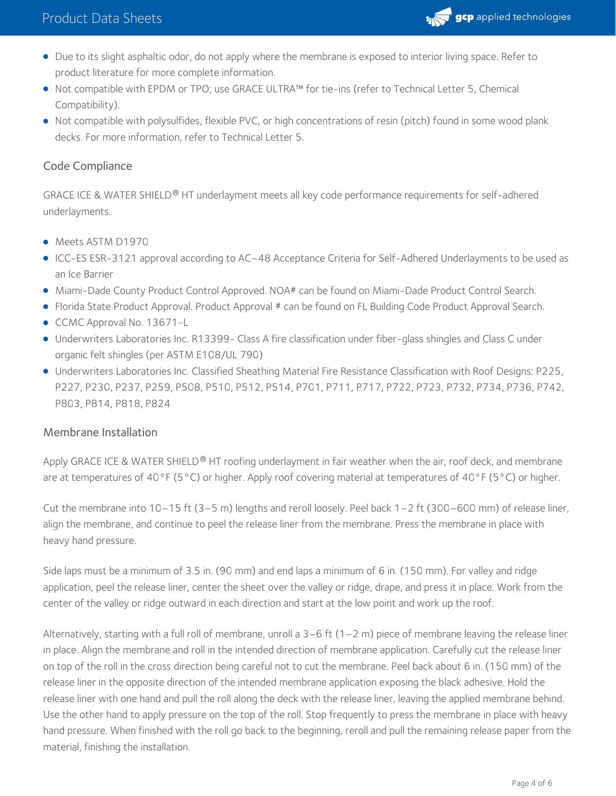# Product Data Sheets



- Due to its slight asphaltic odor, do not apply where the membrane is exposed to interior living space. Refer to product literature for more complete information.
- Not compatible with EPDM or TPO; use GRACE ULTRA™ for tie-ins (refer to Technical Letter 5, Chemical Compatibility).
- Not compatible with polysulfides, flexible PVC, or high concentrations of resin (pitch) found in some wood plank decks. For more information, refer to Technical Letter 5.

## Code Compliance

GRACE ICE & WATER SHIELD® HT underlayment meets all key code performance requirements for self-adhered underlayments.

- Meets ASTM D1970
- ICC-ES ESR-3121 approval according to AC–48 Acceptance Criteria for Self-Adhered Underlayments to be used as an Ice Barrier
- Miami-Dade County Product Control Approved. NOA# can be found on Miami-Dade Product Control Search.
- Florida State Product Approval. Product Approval # can be found on FL Building Code Product Approval Search.
- CCMC Approval No. 13671-L
- Underwriters Laboratories Inc. R13399- Class A fire classification under fiber-glass shingles and Class C under organic felt shingles (per ASTM E108/UL 790)
- Underwriters Laboratories Inc. Classified Sheathing Material Fire Resistance Classification with Roof Designs: P225, P227, P230, P237, P259, P508, P510, P512, P514, P701, P711, P717, P722, P723, P732, P734, P736, P742, P803, P814, P818, P824

#### Membrane Installation

Apply GRACE ICE & WATER SHIELD® HT roofing underlayment in fair weather when the air, roof deck, and membrane are at temperatures of 40°F (5°C) or higher. Apply roof covering material at temperatures of 40°F (5°C) or higher.

Cut the membrane into 10–15 ft (3–5 m) lengths and reroll loosely. Peel back 1–2 ft (300–600 mm) of release liner, align the membrane, and continue to peel the release liner from the membrane. Press the membrane in place with heavy hand pressure.

Side laps must be a minimum of 3.5 in. (90 mm) and end laps a minimum of 6 in. (150 mm). For valley and ridge application, peel the release liner, center the sheet over the valley or ridge, drape, and press it in place. Work from the center of the valley or ridge outward in each direction and start at the low point and work up the roof.

Alternatively, starting with a full roll of membrane, unroll a  $3-6$  ft ( $1-2$  m) piece of membrane leaving the release liner in place. Align the membrane and roll in the intended direction of membrane application. Carefully cut the release liner on top of the roll in the cross direction being careful not to cut the membrane. Peel back about 6 in. (150 mm) of the release liner in the opposite direction of the intended membrane application exposing the black adhesive. Hold the release liner with one hand and pull the roll along the deck with the release liner, leaving the applied membrane behind. Use the other hand to apply pressure on the top of the roll. Stop frequently to press the membrane in place with heavy hand pressure. When finished with the roll go back to the beginning, reroll and pull the remaining release paper from the material, finishing the installation.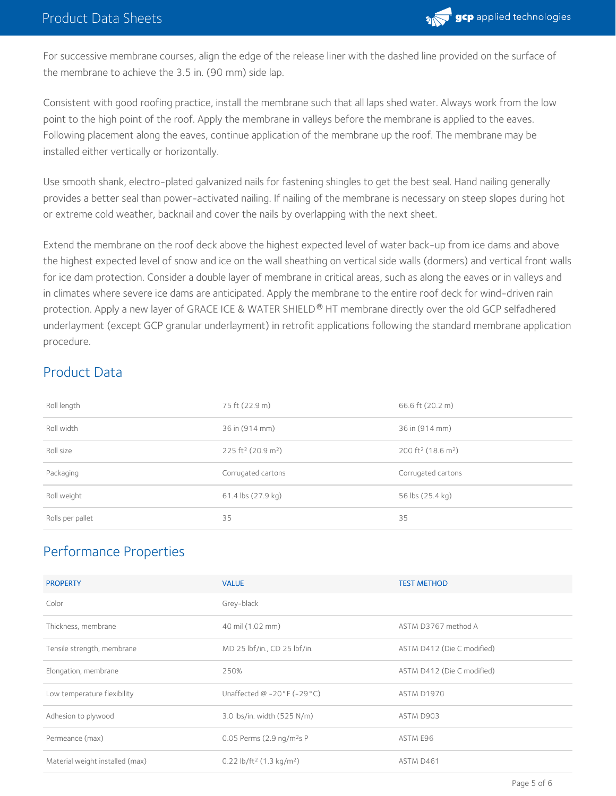

For successive membrane courses, align the edge of the release liner with the dashed line provided on the surface of the membrane to achieve the 3.5 in. (90 mm) side lap.

Consistent with good roofing practice, install the membrane such that all laps shed water. Always work from the low point to the high point of the roof. Apply the membrane in valleys before the membrane is applied to the eaves. Following placement along the eaves, continue application of the membrane up the roof. The membrane may be installed either vertically or horizontally.

Use smooth shank, electro-plated galvanized nails for fastening shingles to get the best seal. Hand nailing generally provides a better seal than power-activated nailing. If nailing of the membrane is necessary on steep slopes during hot or extreme cold weather, backnail and cover the nails by overlapping with the next sheet.

Extend the membrane on the roof deck above the highest expected level of water back-up from ice dams and above the highest expected level of snow and ice on the wall sheathing on vertical side walls (dormers) and vertical front walls for ice dam protection. Consider a double layer of membrane in critical areas, such as along the eaves or in valleys and in climates where severe ice dams are anticipated. Apply the membrane to the entire roof deck for wind-driven rain protection. Apply a new layer of GRACE ICE & WATER SHIELD® HT membrane directly over the old GCP selfadhered underlayment (except GCP granular underlayment) in retrofit applications following the standard membrane application procedure.

# Product Data

| Roll length      | 75 ft (22.9 m)                             | 66.6 ft (20.2 m)                           |
|------------------|--------------------------------------------|--------------------------------------------|
| Roll width       | 36 in (914 mm)                             | 36 in (914 mm)                             |
| Roll size        | 225 ft <sup>2</sup> (20.9 m <sup>2</sup> ) | 200 ft <sup>2</sup> (18.6 m <sup>2</sup> ) |
| Packaging        | Corrugated cartons                         | Corrugated cartons                         |
| Roll weight      | $61.4$ lbs $(27.9$ kg)                     | 56 lbs (25.4 kg)                           |
| Rolls per pallet | 35                                         | 35                                         |

# Performance Properties

| <b>PROPERTY</b>                 | <b>VALUE</b>                                     | <b>TEST METHOD</b>         |
|---------------------------------|--------------------------------------------------|----------------------------|
| Color                           | Grey-black                                       |                            |
| Thickness, membrane             | 40 mil (1.02 mm)                                 | ASTM D3767 method A        |
| Tensile strength, membrane      | MD 25 lbf/in., CD 25 lbf/in.                     | ASTM D412 (Die C modified) |
| Elongation, membrane            | 250%                                             | ASTM D412 (Die C modified) |
| Low temperature flexibility     | Unaffected $@ -20 \degree F (-29 \degree C)$     | <b>ASTM D1970</b>          |
| Adhesion to plywood             | 3.0 lbs/in. width (525 N/m)                      | ASTM D903                  |
| Permeance (max)                 | 0.05 Perms (2.9 ng/m <sup>2</sup> s P            | ASTM E96                   |
| Material weight installed (max) | 0.22 lb/ft <sup>2</sup> (1.3 kg/m <sup>2</sup> ) | ASTM D461                  |